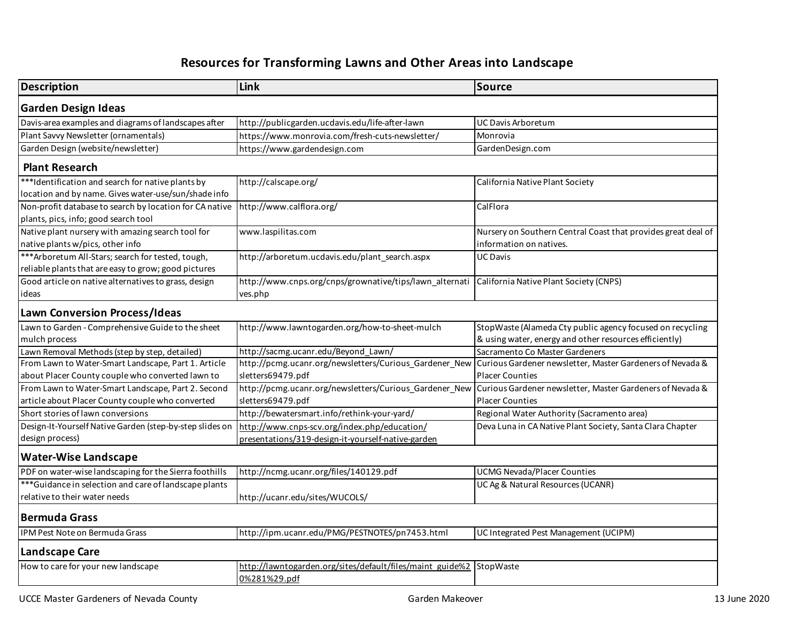## **Resources for Transforming Lawns and Other Areas into Landscape**

| <b>Description</b>                                                                                         | Link                                                                                               | Source                                                                                                                                     |
|------------------------------------------------------------------------------------------------------------|----------------------------------------------------------------------------------------------------|--------------------------------------------------------------------------------------------------------------------------------------------|
| <b>Garden Design Ideas</b>                                                                                 |                                                                                                    |                                                                                                                                            |
| Davis-area examples and diagrams of landscapes after                                                       | http://publicgarden.ucdavis.edu/life-after-lawn                                                    | UC Davis Arboretum                                                                                                                         |
| Plant Savvy Newsletter (ornamentals)                                                                       | https://www.monrovia.com/fresh-cuts-newsletter/                                                    | Monrovia                                                                                                                                   |
| Garden Design (website/newsletter)                                                                         | https://www.gardendesign.com                                                                       | GardenDesign.com                                                                                                                           |
| <b>Plant Research</b>                                                                                      |                                                                                                    |                                                                                                                                            |
| ***Identification and search for native plants by<br>location and by name. Gives water-use/sun/shade info  | http://calscape.org/                                                                               | California Native Plant Society                                                                                                            |
| Non-profit database to search by location for CA native<br>plants, pics, info; good search tool            | http://www.calflora.org/                                                                           | CalFlora                                                                                                                                   |
| Native plant nursery with amazing search tool for<br>native plants w/pics, other info                      | www.laspilitas.com                                                                                 | Nursery on Southern Central Coast that provides great deal of<br>information on natives.                                                   |
| *** Arboretum All-Stars; search for tested, tough,<br>reliable plants that are easy to grow; good pictures | http://arboretum.ucdavis.edu/plant search.aspx                                                     | <b>UC Davis</b>                                                                                                                            |
| Good article on native alternatives to grass, design<br>ideas                                              | http://www.cnps.org/cnps/grownative/tips/lawn_alternati<br>ves.php                                 | California Native Plant Society (CNPS)                                                                                                     |
| <b>Lawn Conversion Process/Ideas</b>                                                                       |                                                                                                    |                                                                                                                                            |
| Lawn to Garden - Comprehensive Guide to the sheet<br>mulch process                                         | http://www.lawntogarden.org/how-to-sheet-mulch                                                     | StopWaste (Alameda Cty public agency focused on recycling<br>& using water, energy and other resources efficiently)                        |
| Lawn Removal Methods (step by step, detailed)                                                              | http://sacmg.ucanr.edu/Beyond_Lawn/                                                                | Sacramento Co Master Gardeners                                                                                                             |
| From Lawn to Water-Smart Landscape, Part 1. Article<br>about Placer County couple who converted lawn to    | http://pcmg.ucanr.org/newsletters/Curious_Gardener_New<br>sletters69479.pdf                        | Curious Gardener newsletter, Master Gardeners of Nevada &<br><b>Placer Counties</b>                                                        |
| From Lawn to Water-Smart Landscape, Part 2. Second<br>article about Placer County couple who converted     | sletters69479.pdf                                                                                  | http://pcmg.ucanr.org/newsletters/Curious_Gardener_New Curious Gardener newsletter, Master Gardeners of Nevada &<br><b>Placer Counties</b> |
| Short stories of lawn conversions                                                                          | http://bewatersmart.info/rethink-your-yard/                                                        | Regional Water Authority (Sacramento area)                                                                                                 |
| Design-It-Yourself Native Garden (step-by-step slides on<br>design process)                                | http://www.cnps-scv.org/index.php/education/<br>presentations/319-design-it-yourself-native-garden | Deva Luna in CA Native Plant Society, Santa Clara Chapter                                                                                  |
| <b>Water-Wise Landscape</b>                                                                                |                                                                                                    |                                                                                                                                            |
| PDF on water-wise landscaping for the Sierra foothills                                                     | http://ncmg.ucanr.org/files/140129.pdf                                                             | <b>UCMG Nevada/Placer Counties</b>                                                                                                         |
| *** Guidance in selection and care of landscape plants<br>relative to their water needs                    | http://ucanr.edu/sites/WUCOLS/                                                                     | UC Ag & Natural Resources (UCANR)                                                                                                          |
| <b>Bermuda Grass</b>                                                                                       |                                                                                                    |                                                                                                                                            |
| IPM Pest Note on Bermuda Grass                                                                             | http://ipm.ucanr.edu/PMG/PESTNOTES/pn7453.html                                                     | UC Integrated Pest Management (UCIPM)                                                                                                      |
| <b>Landscape Care</b>                                                                                      |                                                                                                    |                                                                                                                                            |
| How to care for your new landscape                                                                         | http://lawntogarden.org/sites/default/files/maint_guide%2 StopWaste<br>0%281%29.pdf                |                                                                                                                                            |